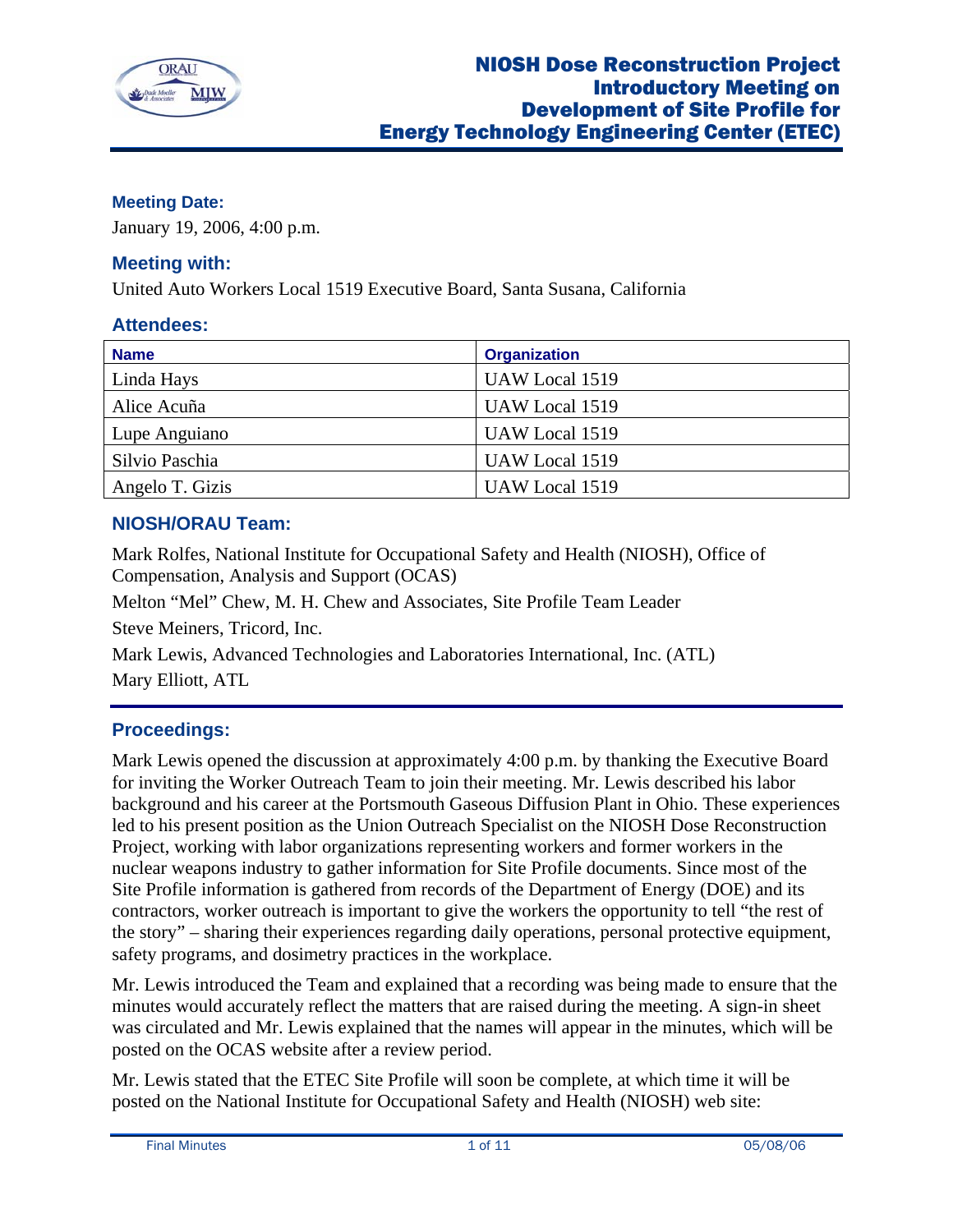

# **Meeting Date:**

January 19, 2006, 4:00 p.m.

# **Meeting with:**

United Auto Workers Local 1519 Executive Board, Santa Susana, California

# **Attendees:**

| <b>Name</b>     | <b>Organization</b> |
|-----------------|---------------------|
| Linda Hays      | UAW Local 1519      |
| Alice Acuña     | UAW Local 1519      |
| Lupe Anguiano   | UAW Local 1519      |
| Silvio Paschia  | UAW Local 1519      |
| Angelo T. Gizis | UAW Local 1519      |

# **NIOSH/ORAU Team:**

Mark Rolfes, National Institute for Occupational Safety and Health (NIOSH), Office of Compensation, Analysis and Support (OCAS)

Melton "Mel" Chew, M. H. Chew and Associates, Site Profile Team Leader

Steve Meiners, Tricord, Inc.

Mark Lewis, Advanced Technologies and Laboratories International, Inc. (ATL) Mary Elliott, ATL

# **Proceedings:**

Mark Lewis opened the discussion at approximately 4:00 p.m. by thanking the Executive Board for inviting the Worker Outreach Team to join their meeting. Mr. Lewis described his labor background and his career at the Portsmouth Gaseous Diffusion Plant in Ohio. These experiences led to his present position as the Union Outreach Specialist on the NIOSH Dose Reconstruction Project, working with labor organizations representing workers and former workers in the nuclear weapons industry to gather information for Site Profile documents. Since most of the Site Profile information is gathered from records of the Department of Energy (DOE) and its contractors, worker outreach is important to give the workers the opportunity to tell "the rest of the story" – sharing their experiences regarding daily operations, personal protective equipment, safety programs, and dosimetry practices in the workplace.

Mr. Lewis introduced the Team and explained that a recording was being made to ensure that the minutes would accurately reflect the matters that are raised during the meeting. A sign-in sheet was circulated and Mr. Lewis explained that the names will appear in the minutes, which will be posted on the OCAS website after a review period.

Mr. Lewis stated that the ETEC Site Profile will soon be complete, at which time it will be posted on the National Institute for Occupational Safety and Health (NIOSH) web site: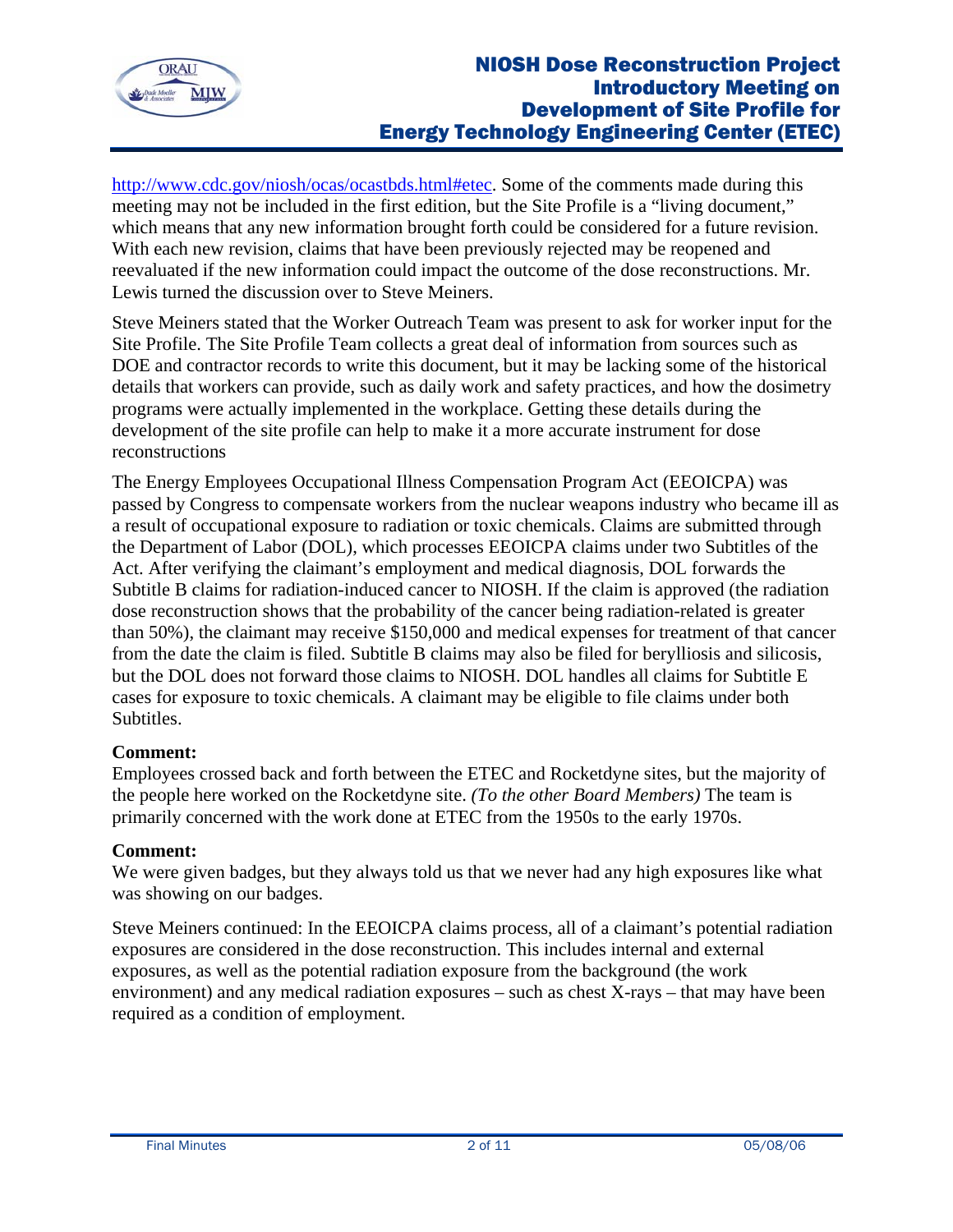

http://www.cdc.gov/niosh/ocas/ocastbds.html#etec. Some of the comments made during this meeting may not be included in the first edition, but the Site Profile is a "living document," which means that any new information brought forth could be considered for a future revision. With each new revision, claims that have been previously rejected may be reopened and reevaluated if the new information could impact the outcome of the dose reconstructions. Mr. Lewis turned the discussion over to Steve Meiners.

Steve Meiners stated that the Worker Outreach Team was present to ask for worker input for the Site Profile. The Site Profile Team collects a great deal of information from sources such as DOE and contractor records to write this document, but it may be lacking some of the historical details that workers can provide, such as daily work and safety practices, and how the dosimetry programs were actually implemented in the workplace. Getting these details during the development of the site profile can help to make it a more accurate instrument for dose reconstructions

The Energy Employees Occupational Illness Compensation Program Act (EEOICPA) was passed by Congress to compensate workers from the nuclear weapons industry who became ill as a result of occupational exposure to radiation or toxic chemicals. Claims are submitted through the Department of Labor (DOL), which processes EEOICPA claims under two Subtitles of the Act. After verifying the claimant's employment and medical diagnosis, DOL forwards the Subtitle B claims for radiation-induced cancer to NIOSH. If the claim is approved (the radiation dose reconstruction shows that the probability of the cancer being radiation-related is greater than 50%), the claimant may receive \$150,000 and medical expenses for treatment of that cancer from the date the claim is filed. Subtitle B claims may also be filed for berylliosis and silicosis, but the DOL does not forward those claims to NIOSH. DOL handles all claims for Subtitle E cases for exposure to toxic chemicals. A claimant may be eligible to file claims under both Subtitles.

### **Comment:**

Employees crossed back and forth between the ETEC and Rocketdyne sites, but the majority of the people here worked on the Rocketdyne site. *(To the other Board Members)* The team is primarily concerned with the work done at ETEC from the 1950s to the early 1970s.

### **Comment:**

We were given badges, but they always told us that we never had any high exposures like what was showing on our badges.

Steve Meiners continued: In the EEOICPA claims process, all of a claimant's potential radiation exposures are considered in the dose reconstruction. This includes internal and external exposures, as well as the potential radiation exposure from the background (the work environment) and any medical radiation exposures – such as chest X-rays – that may have been required as a condition of employment.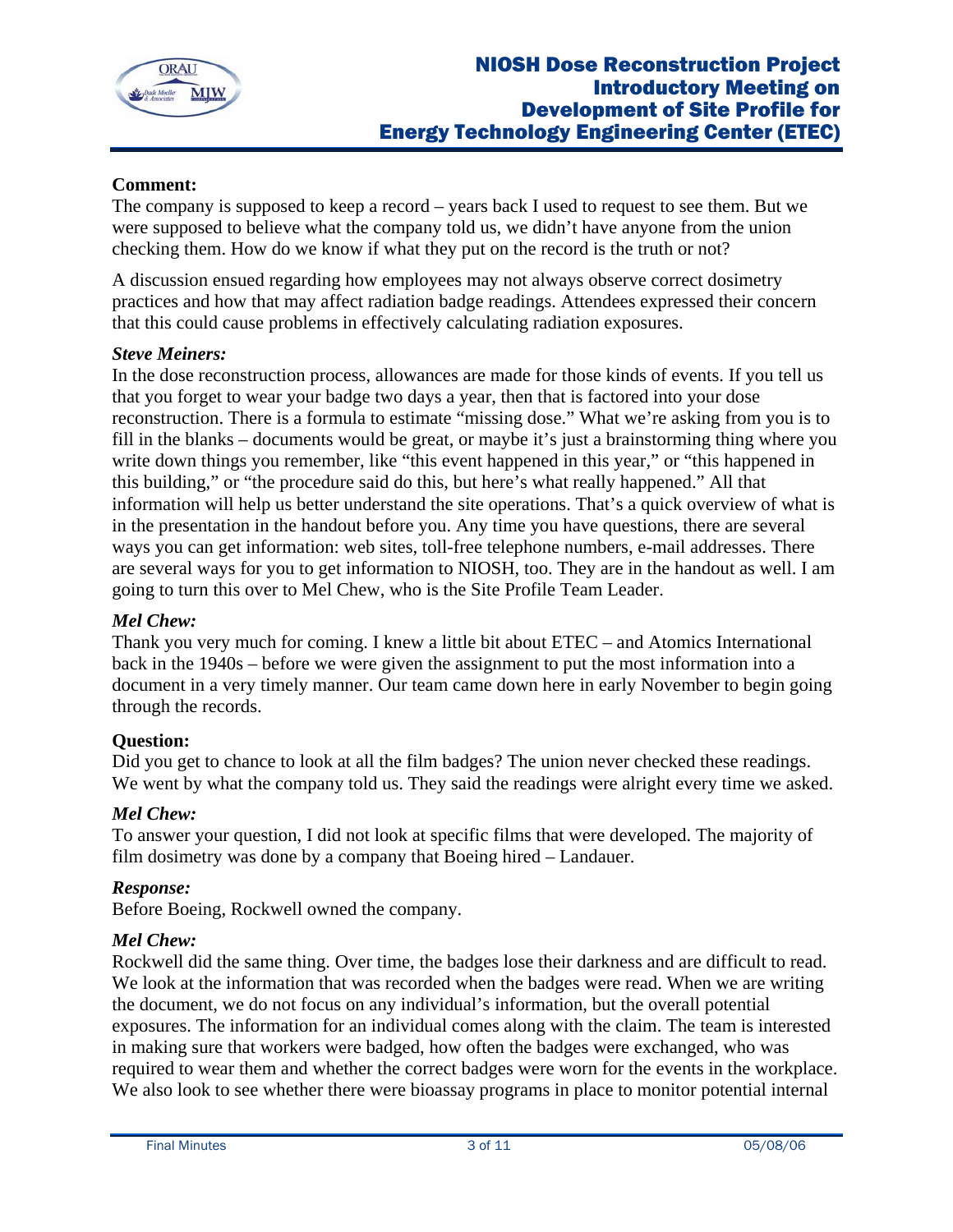

## **Comment:**

The company is supposed to keep a record – years back I used to request to see them. But we were supposed to believe what the company told us, we didn't have anyone from the union checking them. How do we know if what they put on the record is the truth or not?

A discussion ensued regarding how employees may not always observe correct dosimetry practices and how that may affect radiation badge readings. Attendees expressed their concern that this could cause problems in effectively calculating radiation exposures.

#### *Steve Meiners:*

In the dose reconstruction process, allowances are made for those kinds of events. If you tell us that you forget to wear your badge two days a year, then that is factored into your dose reconstruction. There is a formula to estimate "missing dose." What we're asking from you is to fill in the blanks – documents would be great, or maybe it's just a brainstorming thing where you write down things you remember, like "this event happened in this year," or "this happened in this building," or "the procedure said do this, but here's what really happened." All that information will help us better understand the site operations. That's a quick overview of what is in the presentation in the handout before you. Any time you have questions, there are several ways you can get information: web sites, toll-free telephone numbers, e-mail addresses. There are several ways for you to get information to NIOSH, too. They are in the handout as well. I am going to turn this over to Mel Chew, who is the Site Profile Team Leader.

### *Mel Chew:*

Thank you very much for coming. I knew a little bit about ETEC – and Atomics International back in the 1940s – before we were given the assignment to put the most information into a document in a very timely manner. Our team came down here in early November to begin going through the records.

### **Question:**

Did you get to chance to look at all the film badges? The union never checked these readings. We went by what the company told us. They said the readings were alright every time we asked.

### *Mel Chew:*

To answer your question, I did not look at specific films that were developed. The majority of film dosimetry was done by a company that Boeing hired – Landauer.

### *Response:*

Before Boeing, Rockwell owned the company.

### *Mel Chew:*

Rockwell did the same thing. Over time, the badges lose their darkness and are difficult to read. We look at the information that was recorded when the badges were read. When we are writing the document, we do not focus on any individual's information, but the overall potential exposures. The information for an individual comes along with the claim. The team is interested in making sure that workers were badged, how often the badges were exchanged, who was required to wear them and whether the correct badges were worn for the events in the workplace. We also look to see whether there were bioassay programs in place to monitor potential internal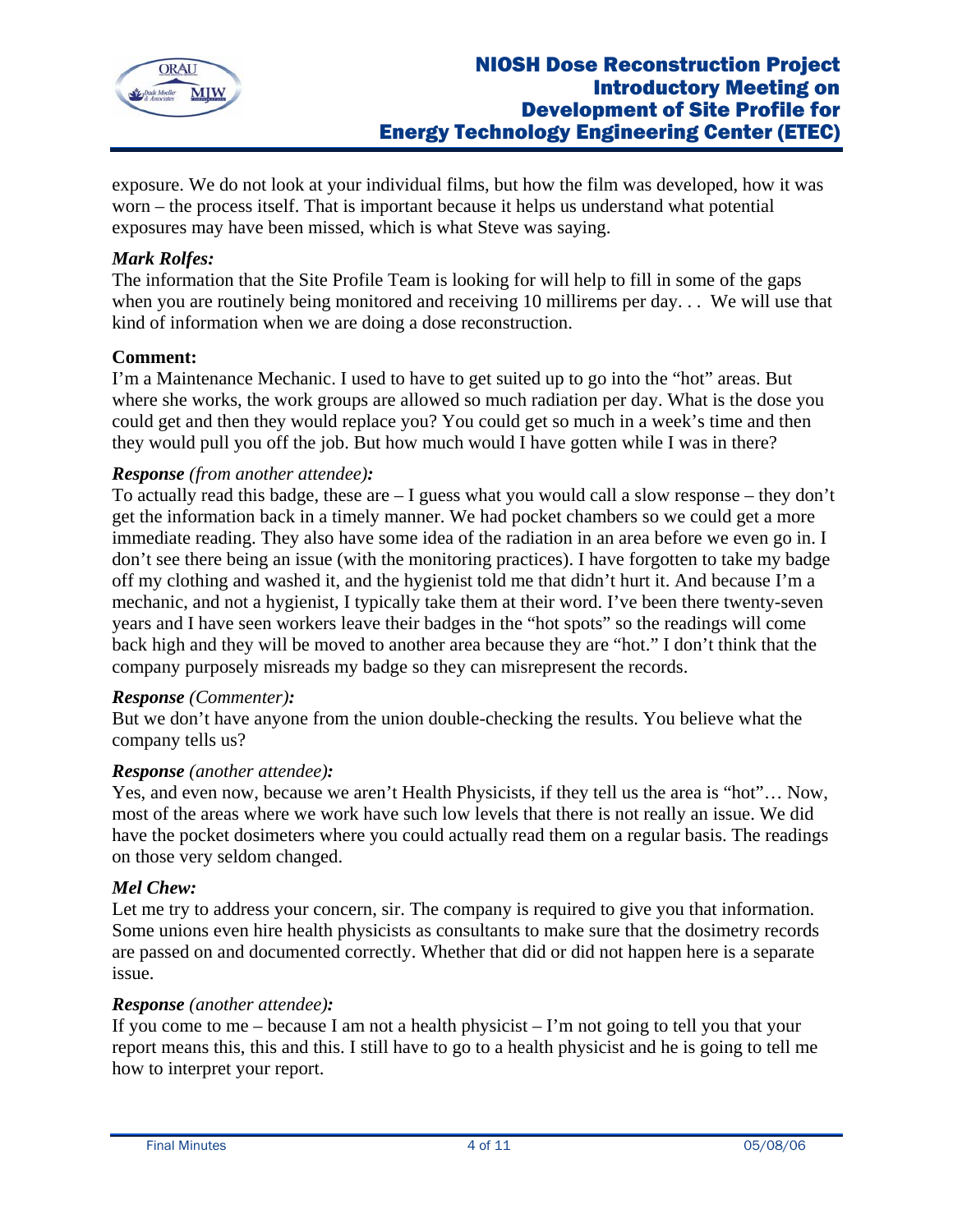

exposure. We do not look at your individual films, but how the film was developed, how it was worn – the process itself. That is important because it helps us understand what potential exposures may have been missed, which is what Steve was saying.

### *Mark Rolfes:*

The information that the Site Profile Team is looking for will help to fill in some of the gaps when you are routinely being monitored and receiving 10 millirems per day... We will use that kind of information when we are doing a dose reconstruction.

### **Comment:**

I'm a Maintenance Mechanic. I used to have to get suited up to go into the "hot" areas. But where she works, the work groups are allowed so much radiation per day. What is the dose you could get and then they would replace you? You could get so much in a week's time and then they would pull you off the job. But how much would I have gotten while I was in there?

## *Response (from another attendee):*

To actually read this badge, these are – I guess what you would call a slow response – they don't get the information back in a timely manner. We had pocket chambers so we could get a more immediate reading. They also have some idea of the radiation in an area before we even go in. I don't see there being an issue (with the monitoring practices). I have forgotten to take my badge off my clothing and washed it, and the hygienist told me that didn't hurt it. And because I'm a mechanic, and not a hygienist, I typically take them at their word. I've been there twenty-seven years and I have seen workers leave their badges in the "hot spots" so the readings will come back high and they will be moved to another area because they are "hot." I don't think that the company purposely misreads my badge so they can misrepresent the records.

### *Response (Commenter):*

But we don't have anyone from the union double-checking the results. You believe what the company tells us?

### *Response (another attendee):*

Yes, and even now, because we aren't Health Physicists, if they tell us the area is "hot"… Now, most of the areas where we work have such low levels that there is not really an issue. We did have the pocket dosimeters where you could actually read them on a regular basis. The readings on those very seldom changed.

#### *Mel Chew:*

Let me try to address your concern, sir. The company is required to give you that information. Some unions even hire health physicists as consultants to make sure that the dosimetry records are passed on and documented correctly. Whether that did or did not happen here is a separate issue.

#### *Response (another attendee):*

If you come to me – because I am not a health physicist – I'm not going to tell you that your report means this, this and this. I still have to go to a health physicist and he is going to tell me how to interpret your report.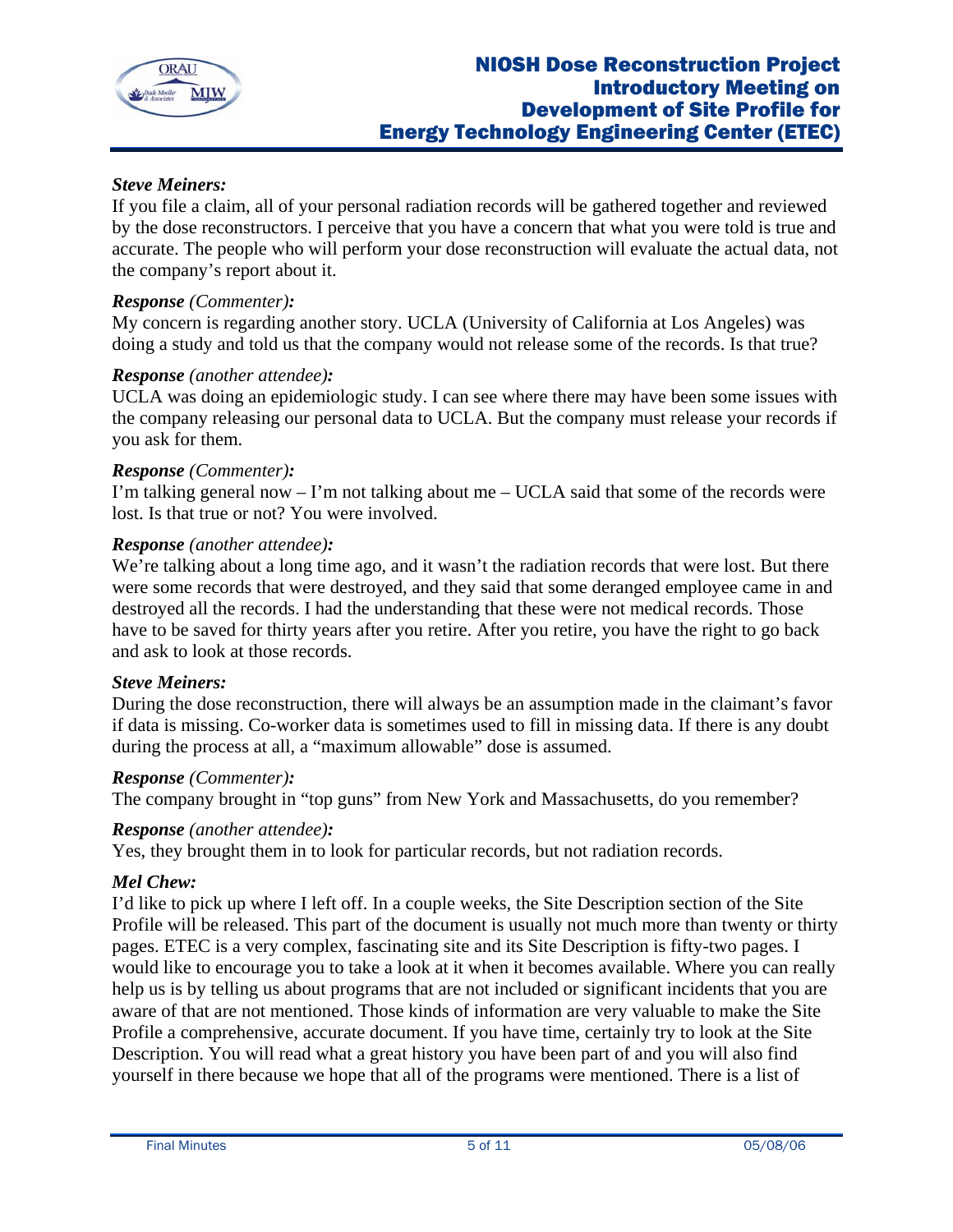

## *Steve Meiners:*

If you file a claim, all of your personal radiation records will be gathered together and reviewed by the dose reconstructors. I perceive that you have a concern that what you were told is true and accurate. The people who will perform your dose reconstruction will evaluate the actual data, not the company's report about it.

#### *Response (Commenter):*

My concern is regarding another story. UCLA (University of California at Los Angeles) was doing a study and told us that the company would not release some of the records. Is that true?

#### *Response (another attendee):*

UCLA was doing an epidemiologic study. I can see where there may have been some issues with the company releasing our personal data to UCLA. But the company must release your records if you ask for them.

#### *Response (Commenter):*

I'm talking general now – I'm not talking about me – UCLA said that some of the records were lost. Is that true or not? You were involved.

#### *Response (another attendee):*

We're talking about a long time ago, and it wasn't the radiation records that were lost. But there were some records that were destroyed, and they said that some deranged employee came in and destroyed all the records. I had the understanding that these were not medical records. Those have to be saved for thirty years after you retire. After you retire, you have the right to go back and ask to look at those records.

#### *Steve Meiners:*

During the dose reconstruction, there will always be an assumption made in the claimant's favor if data is missing. Co-worker data is sometimes used to fill in missing data. If there is any doubt during the process at all, a "maximum allowable" dose is assumed.

#### *Response (Commenter):*

The company brought in "top guns" from New York and Massachusetts, do you remember?

### *Response (another attendee):*

Yes, they brought them in to look for particular records, but not radiation records.

### *Mel Chew:*

I'd like to pick up where I left off. In a couple weeks, the Site Description section of the Site Profile will be released. This part of the document is usually not much more than twenty or thirty pages. ETEC is a very complex, fascinating site and its Site Description is fifty-two pages. I would like to encourage you to take a look at it when it becomes available. Where you can really help us is by telling us about programs that are not included or significant incidents that you are aware of that are not mentioned. Those kinds of information are very valuable to make the Site Profile a comprehensive, accurate document. If you have time, certainly try to look at the Site Description. You will read what a great history you have been part of and you will also find yourself in there because we hope that all of the programs were mentioned. There is a list of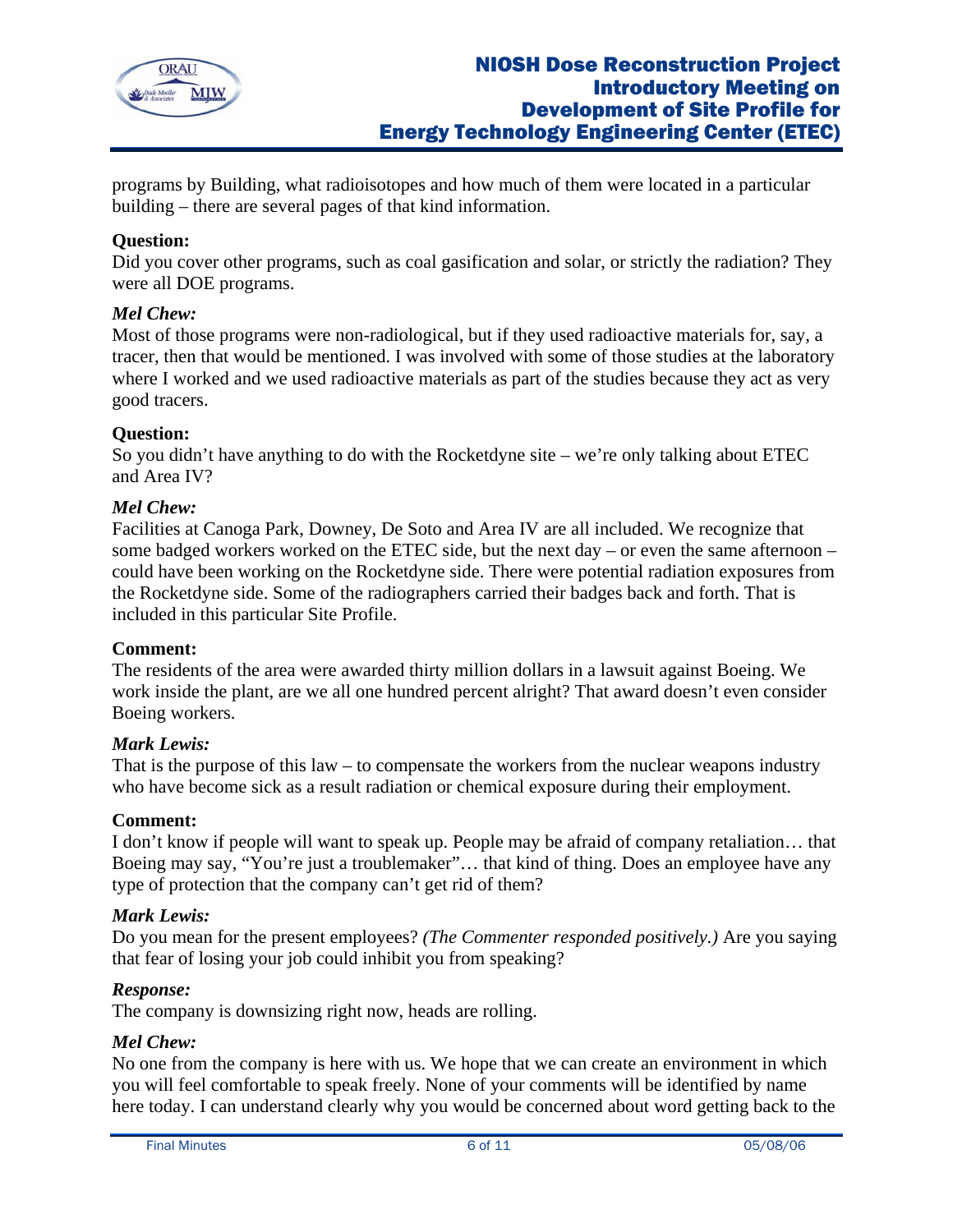

programs by Building, what radioisotopes and how much of them were located in a particular building – there are several pages of that kind information.

# **Question:**

Did you cover other programs, such as coal gasification and solar, or strictly the radiation? They were all DOE programs.

### *Mel Chew:*

Most of those programs were non-radiological, but if they used radioactive materials for, say, a tracer, then that would be mentioned. I was involved with some of those studies at the laboratory where I worked and we used radioactive materials as part of the studies because they act as very good tracers.

### **Question:**

So you didn't have anything to do with the Rocketdyne site – we're only talking about ETEC and Area IV?

### *Mel Chew:*

Facilities at Canoga Park, Downey, De Soto and Area IV are all included. We recognize that some badged workers worked on the ETEC side, but the next day – or even the same afternoon – could have been working on the Rocketdyne side. There were potential radiation exposures from the Rocketdyne side. Some of the radiographers carried their badges back and forth. That is included in this particular Site Profile.

### **Comment:**

The residents of the area were awarded thirty million dollars in a lawsuit against Boeing. We work inside the plant, are we all one hundred percent alright? That award doesn't even consider Boeing workers.

### *Mark Lewis:*

That is the purpose of this law – to compensate the workers from the nuclear weapons industry who have become sick as a result radiation or chemical exposure during their employment.

### **Comment:**

I don't know if people will want to speak up. People may be afraid of company retaliation… that Boeing may say, "You're just a troublemaker"… that kind of thing. Does an employee have any type of protection that the company can't get rid of them?

### *Mark Lewis:*

Do you mean for the present employees? *(The Commenter responded positively.)* Are you saying that fear of losing your job could inhibit you from speaking?

### *Response:*

The company is downsizing right now, heads are rolling.

### *Mel Chew:*

No one from the company is here with us. We hope that we can create an environment in which you will feel comfortable to speak freely. None of your comments will be identified by name here today. I can understand clearly why you would be concerned about word getting back to the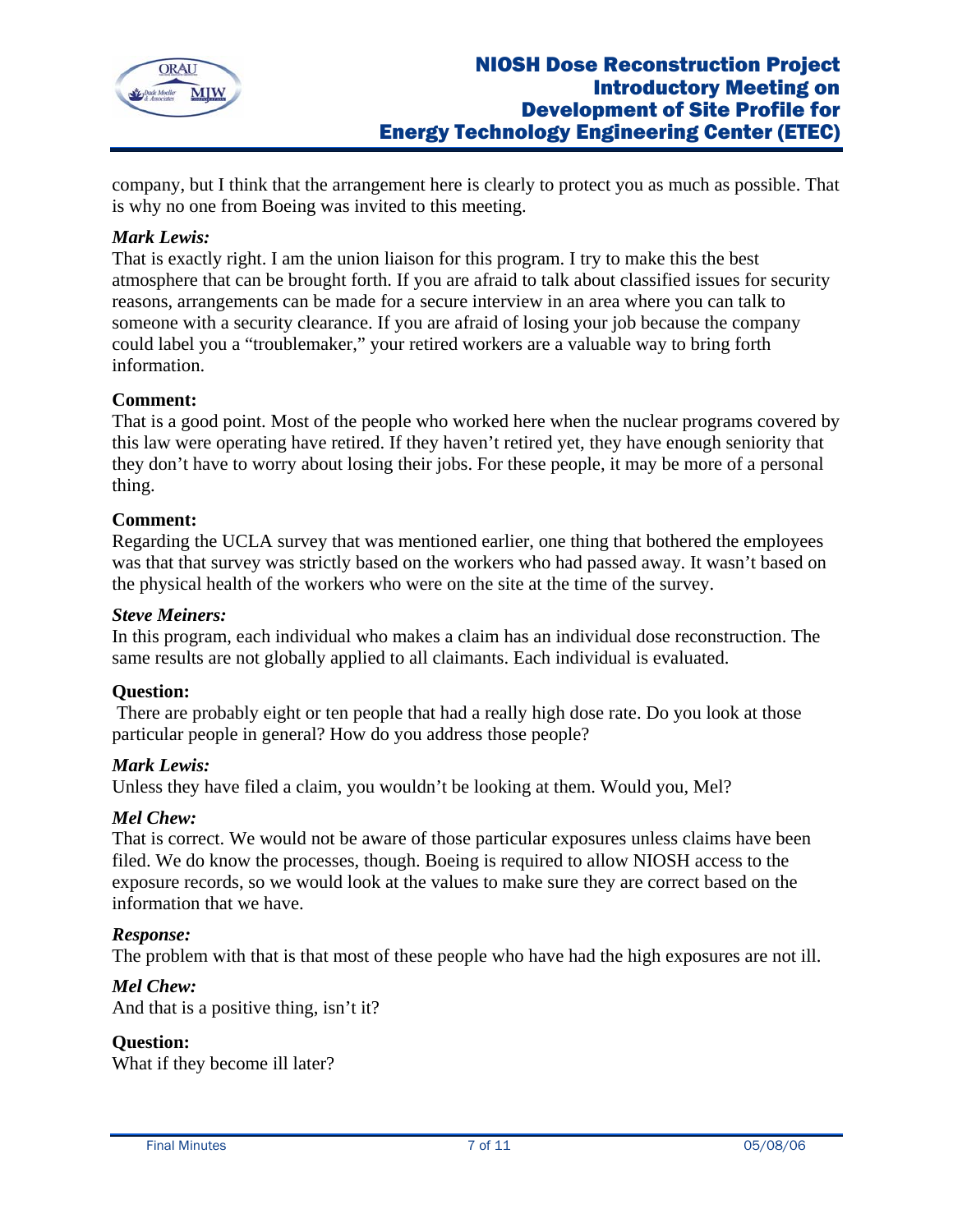

company, but I think that the arrangement here is clearly to protect you as much as possible. That is why no one from Boeing was invited to this meeting.

## *Mark Lewis:*

That is exactly right. I am the union liaison for this program. I try to make this the best atmosphere that can be brought forth. If you are afraid to talk about classified issues for security reasons, arrangements can be made for a secure interview in an area where you can talk to someone with a security clearance. If you are afraid of losing your job because the company could label you a "troublemaker," your retired workers are a valuable way to bring forth information.

## **Comment:**

That is a good point. Most of the people who worked here when the nuclear programs covered by this law were operating have retired. If they haven't retired yet, they have enough seniority that they don't have to worry about losing their jobs. For these people, it may be more of a personal thing.

### **Comment:**

Regarding the UCLA survey that was mentioned earlier, one thing that bothered the employees was that that survey was strictly based on the workers who had passed away. It wasn't based on the physical health of the workers who were on the site at the time of the survey.

#### *Steve Meiners:*

In this program, each individual who makes a claim has an individual dose reconstruction. The same results are not globally applied to all claimants. Each individual is evaluated.

### **Question:**

 There are probably eight or ten people that had a really high dose rate. Do you look at those particular people in general? How do you address those people?

### *Mark Lewis:*

Unless they have filed a claim, you wouldn't be looking at them. Would you, Mel?

### *Mel Chew:*

That is correct. We would not be aware of those particular exposures unless claims have been filed. We do know the processes, though. Boeing is required to allow NIOSH access to the exposure records, so we would look at the values to make sure they are correct based on the information that we have.

### *Response:*

The problem with that is that most of these people who have had the high exposures are not ill.

### *Mel Chew:*

And that is a positive thing, isn't it?

### **Question:**

What if they become ill later?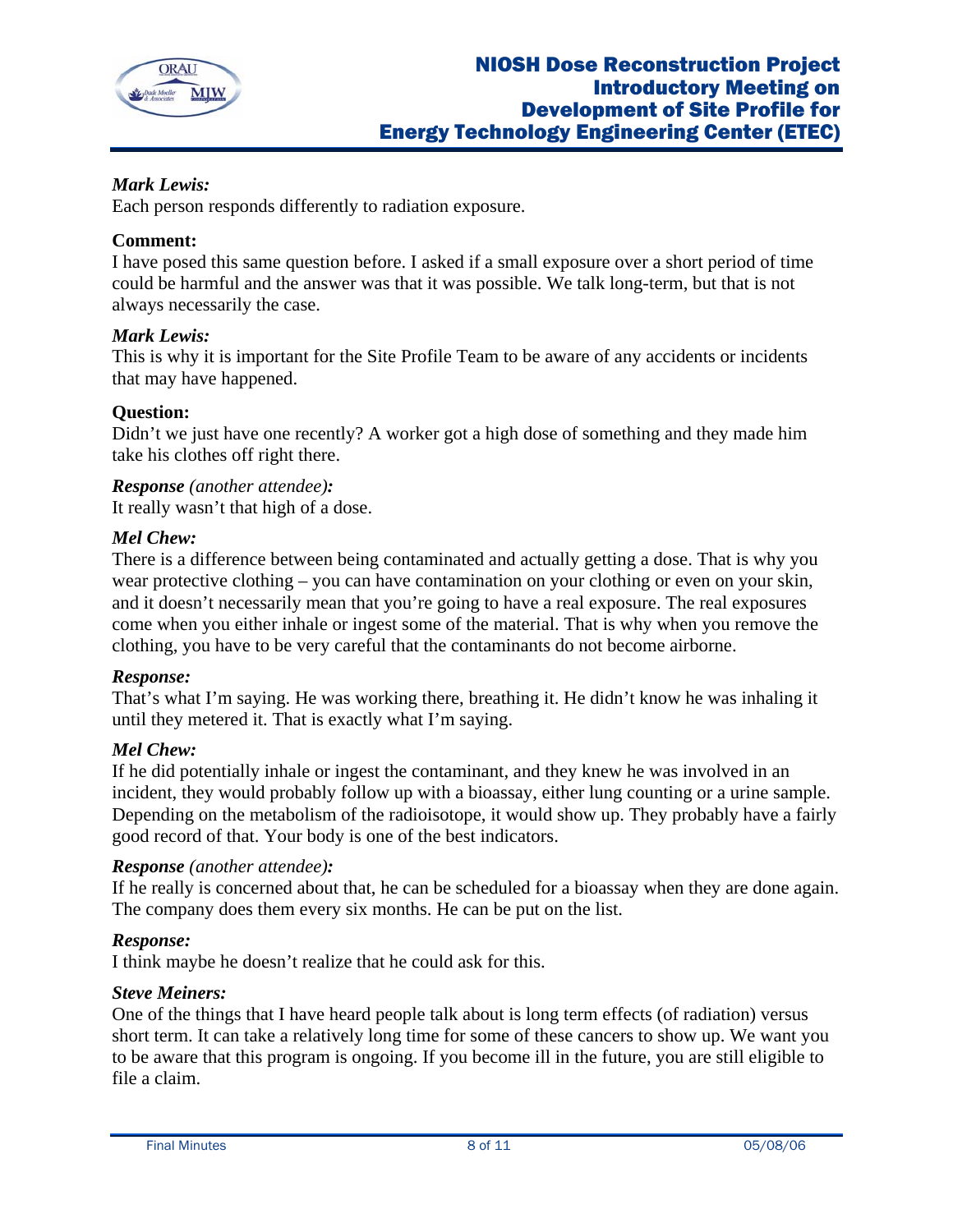

# *Mark Lewis:*

Each person responds differently to radiation exposure.

# **Comment:**

I have posed this same question before. I asked if a small exposure over a short period of time could be harmful and the answer was that it was possible. We talk long-term, but that is not always necessarily the case.

## *Mark Lewis:*

This is why it is important for the Site Profile Team to be aware of any accidents or incidents that may have happened.

## **Question:**

Didn't we just have one recently? A worker got a high dose of something and they made him take his clothes off right there.

*Response (another attendee):*  It really wasn't that high of a dose.

### *Mel Chew:*

There is a difference between being contaminated and actually getting a dose. That is why you wear protective clothing – you can have contamination on your clothing or even on your skin, and it doesn't necessarily mean that you're going to have a real exposure. The real exposures come when you either inhale or ingest some of the material. That is why when you remove the clothing, you have to be very careful that the contaminants do not become airborne.

### *Response:*

That's what I'm saying. He was working there, breathing it. He didn't know he was inhaling it until they metered it. That is exactly what I'm saying.

### *Mel Chew:*

If he did potentially inhale or ingest the contaminant, and they knew he was involved in an incident, they would probably follow up with a bioassay, either lung counting or a urine sample. Depending on the metabolism of the radioisotope, it would show up. They probably have a fairly good record of that. Your body is one of the best indicators.

### *Response (another attendee):*

If he really is concerned about that, he can be scheduled for a bioassay when they are done again. The company does them every six months. He can be put on the list.

# *Response:*

I think maybe he doesn't realize that he could ask for this.

### *Steve Meiners:*

One of the things that I have heard people talk about is long term effects (of radiation) versus short term. It can take a relatively long time for some of these cancers to show up. We want you to be aware that this program is ongoing. If you become ill in the future, you are still eligible to file a claim.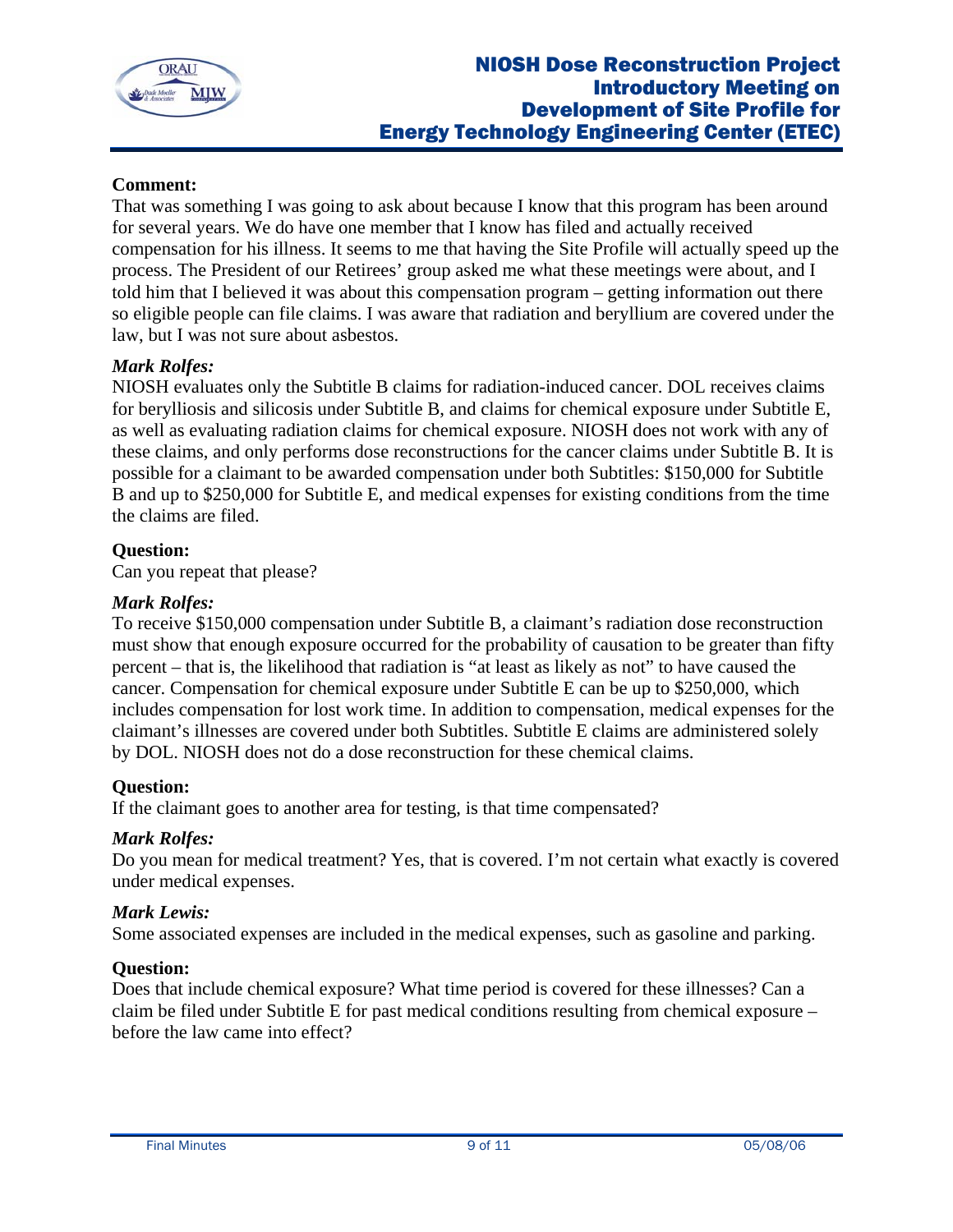

## **Comment:**

That was something I was going to ask about because I know that this program has been around for several years. We do have one member that I know has filed and actually received compensation for his illness. It seems to me that having the Site Profile will actually speed up the process. The President of our Retirees' group asked me what these meetings were about, and I told him that I believed it was about this compensation program – getting information out there so eligible people can file claims. I was aware that radiation and beryllium are covered under the law, but I was not sure about asbestos.

## *Mark Rolfes:*

NIOSH evaluates only the Subtitle B claims for radiation-induced cancer. DOL receives claims for berylliosis and silicosis under Subtitle B, and claims for chemical exposure under Subtitle E, as well as evaluating radiation claims for chemical exposure. NIOSH does not work with any of these claims, and only performs dose reconstructions for the cancer claims under Subtitle B. It is possible for a claimant to be awarded compensation under both Subtitles: \$150,000 for Subtitle B and up to \$250,000 for Subtitle E, and medical expenses for existing conditions from the time the claims are filed.

### **Question:**

Can you repeat that please?

## *Mark Rolfes:*

To receive \$150,000 compensation under Subtitle B, a claimant's radiation dose reconstruction must show that enough exposure occurred for the probability of causation to be greater than fifty percent – that is, the likelihood that radiation is "at least as likely as not" to have caused the cancer. Compensation for chemical exposure under Subtitle E can be up to \$250,000, which includes compensation for lost work time. In addition to compensation, medical expenses for the claimant's illnesses are covered under both Subtitles. Subtitle E claims are administered solely by DOL. NIOSH does not do a dose reconstruction for these chemical claims.

### **Question:**

If the claimant goes to another area for testing, is that time compensated?

### *Mark Rolfes:*

Do you mean for medical treatment? Yes, that is covered. I'm not certain what exactly is covered under medical expenses.

### *Mark Lewis:*

Some associated expenses are included in the medical expenses, such as gasoline and parking.

### **Question:**

Does that include chemical exposure? What time period is covered for these illnesses? Can a claim be filed under Subtitle E for past medical conditions resulting from chemical exposure – before the law came into effect?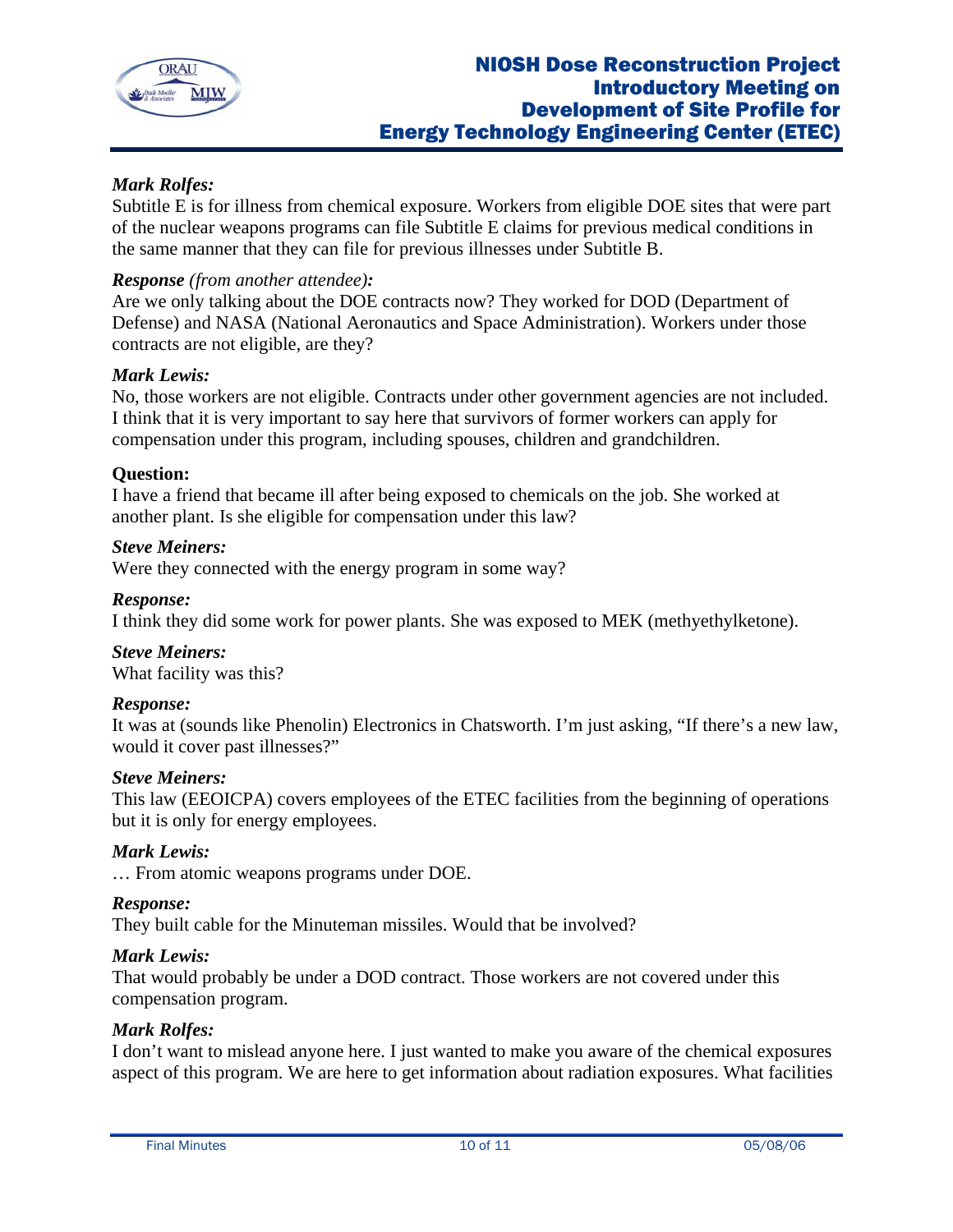

# *Mark Rolfes:*

Subtitle E is for illness from chemical exposure. Workers from eligible DOE sites that were part of the nuclear weapons programs can file Subtitle E claims for previous medical conditions in the same manner that they can file for previous illnesses under Subtitle B.

### *Response (from another attendee):*

Are we only talking about the DOE contracts now? They worked for DOD (Department of Defense) and NASA (National Aeronautics and Space Administration). Workers under those contracts are not eligible, are they?

#### *Mark Lewis:*

No, those workers are not eligible. Contracts under other government agencies are not included. I think that it is very important to say here that survivors of former workers can apply for compensation under this program, including spouses, children and grandchildren.

#### **Question:**

I have a friend that became ill after being exposed to chemicals on the job. She worked at another plant. Is she eligible for compensation under this law?

#### *Steve Meiners:*

Were they connected with the energy program in some way?

#### *Response:*

I think they did some work for power plants. She was exposed to MEK (methyethylketone).

### *Steve Meiners:*

What facility was this?

### *Response:*

It was at (sounds like Phenolin) Electronics in Chatsworth. I'm just asking, "If there's a new law, would it cover past illnesses?"

#### *Steve Meiners:*

This law (EEOICPA) covers employees of the ETEC facilities from the beginning of operations but it is only for energy employees.

#### *Mark Lewis:*

… From atomic weapons programs under DOE.

#### *Response:*

They built cable for the Minuteman missiles. Would that be involved?

#### *Mark Lewis:*

That would probably be under a DOD contract. Those workers are not covered under this compensation program.

### *Mark Rolfes:*

I don't want to mislead anyone here. I just wanted to make you aware of the chemical exposures aspect of this program. We are here to get information about radiation exposures. What facilities